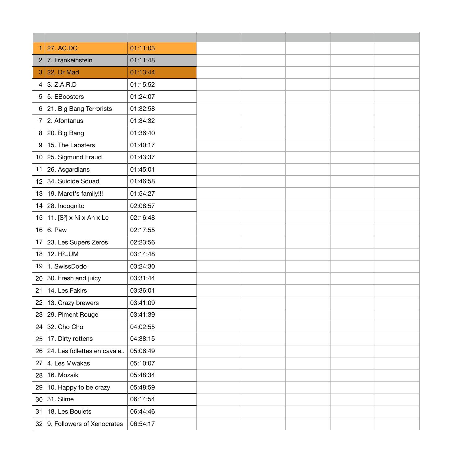| 1 27. AC.DC                                | 01:11:03 |  |  |  |
|--------------------------------------------|----------|--|--|--|
| 2 7. Frankeinstein                         | 01:11:48 |  |  |  |
| 3 22. Dr Mad                               | 01:13:44 |  |  |  |
| 3. Z.A.R.D<br>4                            | 01:15:52 |  |  |  |
| 5. EBoosters<br>5                          | 01:24:07 |  |  |  |
| 21. Big Bang Terrorists<br>6               | 01:32:58 |  |  |  |
| 2. Afontanus                               | 01:34:32 |  |  |  |
| 20. Big Bang<br>8                          | 01:36:40 |  |  |  |
| 15. The Labsters<br>9                      | 01:40:17 |  |  |  |
| 25. Sigmund Fraud<br>10                    | 01:43:37 |  |  |  |
| 26. Asgardians<br>11                       | 01:45:01 |  |  |  |
| 34. Suicide Squad<br>12                    | 01:46:58 |  |  |  |
| 19. Marot's family!!!<br>13                | 01:54:27 |  |  |  |
| 28. Incognito<br>14                        | 02:08:57 |  |  |  |
| 11. [S <sup>2</sup> ] x Ni x An x Le<br>15 | 02:16:48 |  |  |  |
| 6. Paw<br>16                               | 02:17:55 |  |  |  |
| 23. Les Supers Zeros<br>17                 | 02:23:56 |  |  |  |
| 12. $H^2 = UM$<br>18                       | 03:14:48 |  |  |  |
| 1. SwissDodo<br>19                         | 03:24:30 |  |  |  |
| 30. Fresh and juicy<br>20                  | 03:31:44 |  |  |  |
| 14. Les Fakirs<br>21                       | 03:36:01 |  |  |  |
| 13. Crazy brewers<br>22                    | 03:41:09 |  |  |  |
| 29. Piment Rouge<br>23                     | 03:41:39 |  |  |  |
| 32. Cho Cho<br>24                          | 04:02:55 |  |  |  |
| 17. Dirty rottens<br>25                    | 04:38:15 |  |  |  |
| 24. Les follettes en cavale<br>26          | 05:06:49 |  |  |  |
| 4. Les Mwakas<br>27                        | 05:10:07 |  |  |  |
| 16. Mozaik<br>28                           | 05:48:34 |  |  |  |
| 29<br>10. Happy to be crazy                | 05:48:59 |  |  |  |
| 31. Slime<br>30                            | 06:14:54 |  |  |  |
| 18. Les Boulets<br>31                      | 06:44:46 |  |  |  |
| 32 9. Followers of Xenocrates              | 06:54:17 |  |  |  |